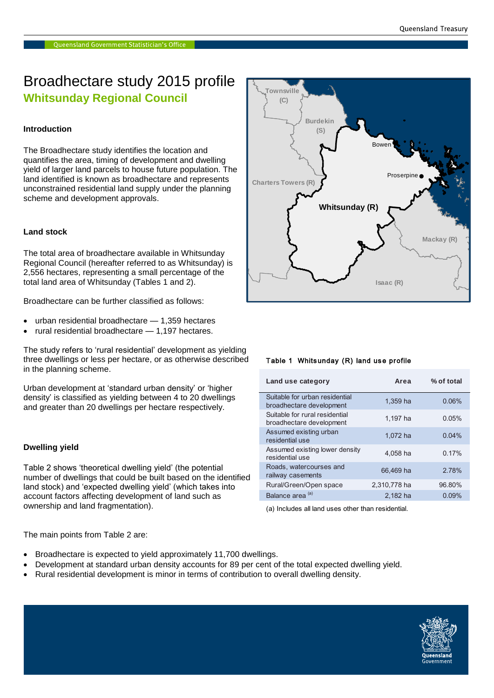### Broadhectare study 2015 profile **Whitsunday Regional Council**

#### **Introduction**

The Broadhectare study identifies the location and quantifies the area, timing of development and dwelling yield of larger land parcels to house future population. The land identified is known as broadhectare and represents unconstrained residential land supply under the planning scheme and development approvals.

#### **Land stock**

The total area of broadhectare available in Whitsunday Regional Council (hereafter referred to as Whitsunday) is 2,556 hectares, representing a small percentage of the total land area of Whitsunday (Tables 1 and 2).

Broadhectare can be further classified as follows:

- urban residential broadhectare 1,359 hectares
- rural residential broadhectare 1,197 hectares.

The study refers to 'rural residential' development as yielding three dwellings or less per hectare, or as otherwise described in the planning scheme.

Urban development at 'standard urban density' or 'higher density' is classified as yielding between 4 to 20 dwellings **Barcaldine (R)** and greater than 20 dwellings per hectare respectively.

#### **Dwelling yield**

Table 2 shows 'theoretical dwelling yield' (the potential number of dwellings that could be built based on the identified land stock) and 'expected dwelling yield' (which takes into account factors affecting development of land such as ownership and land fragmentation).

e.  $\bullet$ **Charters Towers (R) Burdekin (S) Isaac (R) Whitsunday (R)** Proserpine **Bower Mackay (R)**

**Townsville (C)**

#### Table 1 Whitsunday (R) land use profile

| Land use category                                          | Area         | % of total |
|------------------------------------------------------------|--------------|------------|
| Suitable for urban residential<br>broadhectare development | 1.359 ha     | 0.06%      |
| Suitable for rural residential<br>broadhectare development | 1.197 ha     | 0.05%      |
| Assumed existing urban<br>residential use                  | 1,072 ha     | 0.04%      |
| Assumed existing lower density<br>residential use          | 4,058 ha     | 0.17%      |
| Roads, watercourses and<br>railway casements               | 66.469 ha    | 2.78%      |
| Rural/Green/Open space                                     | 2.310.778 ha | 96.80%     |
| Balance area <sup>(a)</sup>                                | 2.182 ha     | 0.09%      |

(a) Includes all land uses other than residential.

The main points from Table 2 are:

- Broadhectare is expected to yield approximately 11,700 dwellings.
- Development at standard urban density accounts for 89 per cent of the total expected dwelling yield.
- Rural residential development is minor in terms of contribution to overall dwelling density.

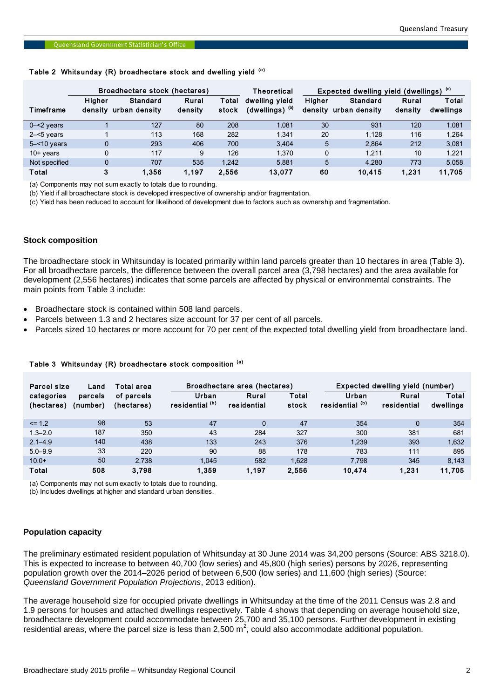# Queensland Government Statistician's Office<br>Table 2 Whitsunday (R) broadhectare stock and dwelling yield <sup>(a)</sup>

| Timeframe                                                                                                                                                                                                                                                                                                                                                                                                                                                                                                                                                                                                                                                                                                                                                                                                                                                                                                                                                                                                                                                                                                       | Higher<br>$\mathbf 1$ | <b>Standard</b><br>density urban density | Rural   | Total | dwelling yield             | Higher |                       |         |           |
|-----------------------------------------------------------------------------------------------------------------------------------------------------------------------------------------------------------------------------------------------------------------------------------------------------------------------------------------------------------------------------------------------------------------------------------------------------------------------------------------------------------------------------------------------------------------------------------------------------------------------------------------------------------------------------------------------------------------------------------------------------------------------------------------------------------------------------------------------------------------------------------------------------------------------------------------------------------------------------------------------------------------------------------------------------------------------------------------------------------------|-----------------------|------------------------------------------|---------|-------|----------------------------|--------|-----------------------|---------|-----------|
|                                                                                                                                                                                                                                                                                                                                                                                                                                                                                                                                                                                                                                                                                                                                                                                                                                                                                                                                                                                                                                                                                                                 |                       |                                          |         |       |                            |        | <b>Standard</b>       | Rural   | Total     |
|                                                                                                                                                                                                                                                                                                                                                                                                                                                                                                                                                                                                                                                                                                                                                                                                                                                                                                                                                                                                                                                                                                                 |                       |                                          | density | stock | (dwellings) <sup>(b)</sup> |        | density urban density | density | dwellings |
| $0 - 2$ years                                                                                                                                                                                                                                                                                                                                                                                                                                                                                                                                                                                                                                                                                                                                                                                                                                                                                                                                                                                                                                                                                                   |                       | 127                                      | 80      | 208   | 1,081                      | 30     | 931                   | 120     | 1,081     |
| $2 - 5$ years                                                                                                                                                                                                                                                                                                                                                                                                                                                                                                                                                                                                                                                                                                                                                                                                                                                                                                                                                                                                                                                                                                   |                       | 113                                      | 168     | 282   | 1,341                      | 20     | 1,128                 | 116     | 1,264     |
| $5 - 10$ years                                                                                                                                                                                                                                                                                                                                                                                                                                                                                                                                                                                                                                                                                                                                                                                                                                                                                                                                                                                                                                                                                                  | 0                     | 293                                      | 406     | 700   | 3,404                      | 5      | 2,864                 | 212     | 3,081     |
| 10+ years                                                                                                                                                                                                                                                                                                                                                                                                                                                                                                                                                                                                                                                                                                                                                                                                                                                                                                                                                                                                                                                                                                       | 0                     | 117                                      | 9       | 126   | 1,370                      | 0      | 1,211                 | 10      | 1,221     |
| Not specified                                                                                                                                                                                                                                                                                                                                                                                                                                                                                                                                                                                                                                                                                                                                                                                                                                                                                                                                                                                                                                                                                                   | 0                     | 707                                      | 535     | 1,242 | 5,881                      | 5      | 4,280                 | 773     | 5,058     |
| Total                                                                                                                                                                                                                                                                                                                                                                                                                                                                                                                                                                                                                                                                                                                                                                                                                                                                                                                                                                                                                                                                                                           | 3                     | 1,356                                    | 1,197   | 2,556 | 13,077                     | 60     | 10,415                | 1,231   | 11,705    |
| (a) Components may not sum exactly to totals due to rounding.<br>(b) Yield if all broadhectare stock is developed irrespective of ownership and/or fragmentation.<br>(c) Yield has been reduced to account for likelihood of development due to factors such as ownership and fragmentation.<br><b>Stock composition</b><br>The broadhectare stock in Whitsunday is located primarily within land parcels greater than 10 hectares in area (Table 3).<br>For all broadhectare parcels, the difference between the overall parcel area (3,798 hectares) and the area available for<br>development (2,556 hectares) indicates that some parcels are affected by physical or environmental constraints. The<br>main points from Table 3 include:<br>Broadhectare stock is contained within 508 land parcels.<br>$\bullet$<br>• Parcels between 1.3 and 2 hectares size account for 37 per cent of all parcels.<br>Parcels sized 10 hectares or more account for 70 per cent of the expected total dwelling yield from broadhectare land.<br>$\bullet$<br>Table 3 Whitsunday (R) broadhectare stock composition (a) |                       |                                          |         |       |                            |        |                       |         |           |

#### **Stock composition**

- Broadhectare stock is contained within 508 land parcels.
- Parcels between 1.3 and 2 hectares size account for 37 per cent of all parcels.
- Parcels sized 10 hectares or more account for 70 per cent of the expected total dwelling yield from broadhectare land.

| Parcel size              | Land                | Total area               | Broadhectare area (hectares) |                      | Expected dwelling yield (number) |                                     |                      |                    |
|--------------------------|---------------------|--------------------------|------------------------------|----------------------|----------------------------------|-------------------------------------|----------------------|--------------------|
| categories<br>(hectares) | parcels<br>(number) | of parcels<br>(hectares) | Urban<br>residential (b)     | Rural<br>residential | Total<br>stock                   | Urban<br>residential <sup>(b)</sup> | Rural<br>residential | Total<br>dwellings |
| $\leq$ 1.2               | 98                  | 53                       | 47                           | 0                    | 47                               | 354                                 | $\Omega$             | 354                |
| $1.3 - 2.0$              | 187                 | 350                      | 43                           | 284                  | 327                              | 300                                 | 381                  | 681                |
| $2.1 - 4.9$              | 140                 | 438                      | 133                          | 243                  | 376                              | 1.239                               | 393                  | 1,632              |
| $5.0 - 9.9$              | 33                  | 220                      | 90                           | 88                   | 178                              | 783                                 | 111                  | 895                |
| $10.0+$                  | 50                  | 2.738                    | 1.045                        | 582                  | 1.628                            | 7.798                               | 345                  | 8.143              |
| Total                    | 508                 | 3.798                    | 1.359                        | 1.197                | 2.556                            | 10.474                              | 1.231                | 11.705             |

#### Table 3 Whitsunday  $(R)$  broadhectare stock composition  $(4)$

(a) Components may not sum exactly to totals due to rounding.

(b) Includes dwellings at higher and standard urban densities.

#### **Population capacity**

The preliminary estimated resident population of Whitsunday at 30 June 2014 was 34,200 persons (Source: ABS 3218.0). This is expected to increase to between 40,700 (low series) and 45,800 (high series) persons by 2026, representing population growth over the 2014–2026 period of between 6,500 (low series) and 11,600 (high series) (Source: *Queensland Government Population Projections*, 2013 edition).

The average household size for occupied private dwellings in Whitsunday at the time of the 2011 Census was 2.8 and 1.9 persons for houses and attached dwellings respectively. Table 4 shows that depending on average household size, broadhectare development could accommodate between 25,700 and 35,100 persons. Further development in existing residential areas, where the parcel size is less than 2,500 m<sup>2</sup>, could also accommodate additional population.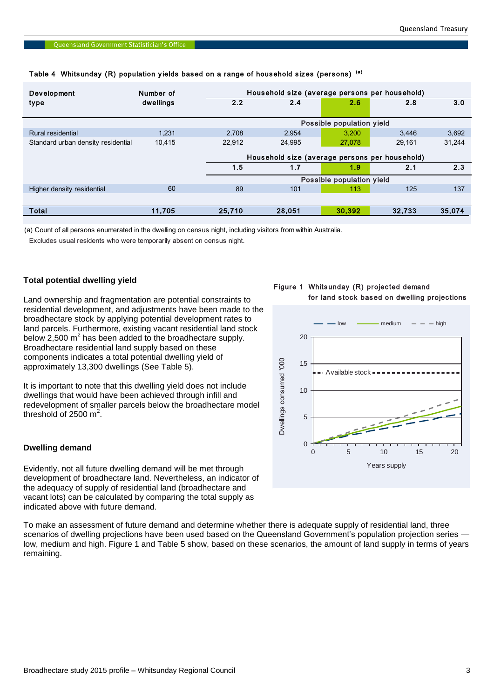| Development                        | Number of |        | Household size (average persons per household) |                           |        |        |  |  |
|------------------------------------|-----------|--------|------------------------------------------------|---------------------------|--------|--------|--|--|
| type                               | dwellings | 2.2    | 2.4                                            | 2.6                       | 2.8    | 3.0    |  |  |
|                                    |           |        |                                                | Possible population yield |        |        |  |  |
| Rural residential                  | 1.231     | 2.708  | 2.954                                          | 3.200                     | 3,446  | 3,692  |  |  |
| Standard urban density residential | 10,415    | 22.912 | 24.995                                         | 27,078                    | 29.161 | 31,244 |  |  |
|                                    |           |        | Household size (average persons per household) |                           |        |        |  |  |
|                                    |           | 1.5    | 1.7                                            | 1.9                       | 2.1    | 2.3    |  |  |
|                                    |           |        |                                                | Possible population yield |        |        |  |  |
| Higher density residential         | 60        | 89     | 101                                            | 113                       | 125    | 137    |  |  |
|                                    |           |        |                                                |                           |        |        |  |  |
| Total                              | 11,705    | 25,710 | 28,051                                         | 30,392                    | 32.733 | 35,074 |  |  |

# Queensland Government Statistician's Office<br>Table 4 Whitsunday (R) population yields based on a range of household sizes (persons) <sup>(a)</sup>

(a) Count of all persons enumerated in the dwelling on census night, including visitors from within Australia.

Excludes usual residents who were temporarily absent on census night.

#### **Total potential dwelling yield**

Land ownership and fragmentation are potential constraints to residential development, and adjustments have been made to the broadhectare stock by applying potential development rates to land parcels. Furthermore, existing vacant residential land stock below 2,500  $m^2$  has been added to the broadhectare supply. Broadhectare residential land supply based on these components indicates a total potential dwelling yield of approximately 13,300 dwellings (See Table 5).

It is important to note that this dwelling yield does not include dwellings that would have been achieved through infill and redevelopment of smaller parcels below the broadhectare model threshold of 2500  $m^2$ .

#### **Dwelling demand**

Evidently, not all future dwelling demand will be met through development of broadhectare land. Nevertheless, an indicator of the adequacy of supply of residential land (broadhectare and vacant lots) can be calculated by comparing the total supply as indicated above with future demand.

To make an assessment of future demand and determine whether there is adequate supply of residential land, three scenarios of dwelling projections have been used based on the Queensland Government's population projection series low, medium and high. Figure 1 and Table 5 show, based on these scenarios, the amount of land supply in terms of years remaining.

#### Figure 1 Whitsunday (R) projected demand for land stock based on dwelling projections

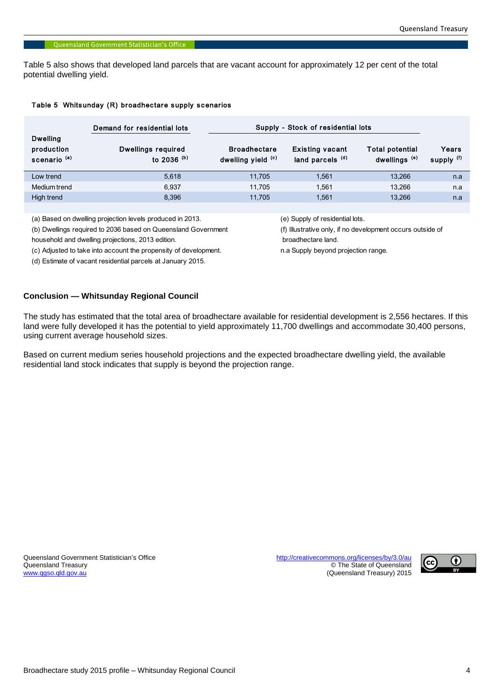Table 5 also shows that developed land parcels that are vacant account for approximately 12 per cent of the total potential dwelling yield.

#### Table 5 Whitsunday (R) broadhectare supply scenarios

|                                                          | Demand for residential lots                | Supply - Stock of residential lots        |                                                       |                                                    |                                |
|----------------------------------------------------------|--------------------------------------------|-------------------------------------------|-------------------------------------------------------|----------------------------------------------------|--------------------------------|
| <b>Dwelling</b><br>production<br>scenario <sup>(a)</sup> | <b>Dwellings required</b><br>to 2036 $(b)$ | <b>Broadhectare</b><br>dwelling yield (c) | <b>Existing vacant</b><br>land parcels <sup>(d)</sup> | <b>Total potential</b><br>dwellings <sup>(e)</sup> | Years<br>supply <sup>(f)</sup> |
| Low trend                                                | 5.618                                      | 11.705                                    | 1,561                                                 | 13.266                                             | n.a                            |
| Medium trend                                             | 6.937                                      | 11.705                                    | 1.561                                                 | 13.266                                             | n.a                            |
| High trend                                               | 8.396                                      | 11.705                                    | 1,561                                                 | 13,266                                             | n.a                            |

(a) Based on dwelling projection levels produced in 2013. (e) Supply of residential lots.

(b) Dwellings required to 2036 based on Queensland Government (f) Illustrative only, if no development occurs outside of

household and dwelling projections, 2013 edition. broadhectare land.

(c) Adjusted to take into account the propensity of development. n.a Supply beyond projection range.

(d) Estimate of vacant residential parcels at January 2015.

#### **Conclusion — Whitsunday Regional Council**

The study has estimated that the total area of broadhectare available for residential development is 2,556 hectares. If this land were fully developed it has the potential to yield approximately 11,700 dwellings and accommodate 30,400 persons, using current average household sizes.

Based on current medium series household projections and the expected broadhectare dwelling yield, the available residential land stock indicates that supply is beyond the projection range.

Queensland Government Statistician's Office <http://creativecommons.org/licenses/by/3.0/au><br>Queensland Treasury exercise http://creativecommons.org/licenses/by/3.0/au

Queensland Treasury **Contract of Contract of Contract of Contract of Contract of Contract of Contract of Cueensland<br>
Contract of Cueensland Treasury 2015** (Queensland Treasury) 2015